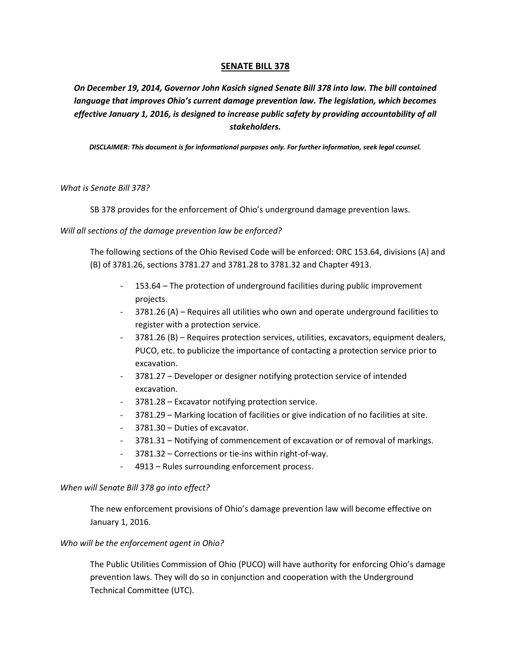### **SENATE BILL 378**

*On December 19, 2014, Governor John Kasich signed Senate Bill 378 into law. The bill contained language that improves Ohio's current damage prevention law. The legislation, which becomes effective January 1, 2016, is designed to increase public safety by providing accountability of all stakeholders.* 

*DISCLAIMER: This document is for informational purposes only. For further information, seek legal counsel.* 

*What is Senate Bill 378?* 

SB 378 provides for the enforcement of Ohio's underground damage prevention laws.

*Will all sections of the damage prevention law be enforced?* 

The following sections of the Ohio Revised Code will be enforced: ORC 153.64, divisions (A) and (B) of 3781.26, sections 3781.27 and 3781.28 to 3781.32 and Chapter 4913.

- 153.64 The protection of underground facilities during public improvement projects.
- 3781.26 (A) Requires all utilities who own and operate underground facilities to register with a protection service.
- 3781.26 (B) Requires protection services, utilities, excavators, equipment dealers, PUCO, etc. to publicize the importance of contacting a protection service prior to excavation.
- 3781.27 Developer or designer notifying protection service of intended excavation.
- 3781.28 Excavator notifying protection service.
- 3781.29 Marking location of facilities or give indication of no facilities at site.
- 3781.30 Duties of excavator.
- 3781.31 Notifying of commencement of excavation or of removal of markings.
- 3781.32 Corrections or tie-ins within right-of-way.
- 4913 Rules surrounding enforcement process.

#### *When will Senate Bill 378 go into effect?*

The new enforcement provisions of Ohio's damage prevention law will become effective on January 1, 2016.

#### *Who will be the enforcement agent in Ohio?*

The Public Utilities Commission of Ohio (PUCO) will have authority for enforcing Ohio's damage prevention laws. They will do so in conjunction and cooperation with the Underground Technical Committee (UTC).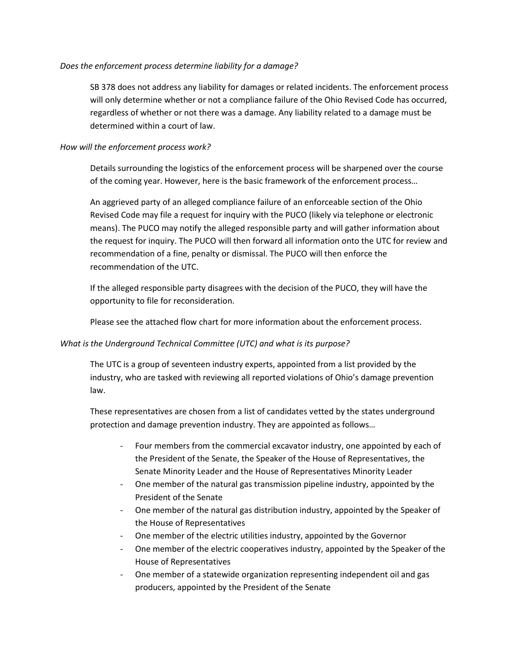### *Does the enforcement process determine liability for a damage?*

SB 378 does not address any liability for damages or related incidents. The enforcement process will only determine whether or not a compliance failure of the Ohio Revised Code has occurred, regardless of whether or not there was a damage. Any liability related to a damage must be determined within a court of law.

### *How will the enforcement process work?*

Details surrounding the logistics of the enforcement process will be sharpened over the course of the coming year. However, here is the basic framework of the enforcement process…

An aggrieved party of an alleged compliance failure of an enforceable section of the Ohio Revised Code may file a request for inquiry with the PUCO (likely via telephone or electronic means). The PUCO may notify the alleged responsible party and will gather information about the request for inquiry. The PUCO will then forward all information onto the UTC for review and recommendation of a fine, penalty or dismissal. The PUCO will then enforce the recommendation of the UTC.

If the alleged responsible party disagrees with the decision of the PUCO, they will have the opportunity to file for reconsideration.

Please see the attached flow chart for more information about the enforcement process.

### *What is the Underground Technical Committee (UTC) and what is its purpose?*

The UTC is a group of seventeen industry experts, appointed from a list provided by the industry, who are tasked with reviewing all reported violations of Ohio's damage prevention law.

These representatives are chosen from a list of candidates vetted by the states underground protection and damage prevention industry. They are appointed as follows…

- Four members from the commercial excavator industry, one appointed by each of the President of the Senate, the Speaker of the House of Representatives, the Senate Minority Leader and the House of Representatives Minority Leader
- One member of the natural gas transmission pipeline industry, appointed by the President of the Senate
- One member of the natural gas distribution industry, appointed by the Speaker of the House of Representatives
- One member of the electric utilities industry, appointed by the Governor
- One member of the electric cooperatives industry, appointed by the Speaker of the House of Representatives
- One member of a statewide organization representing independent oil and gas producers, appointed by the President of the Senate